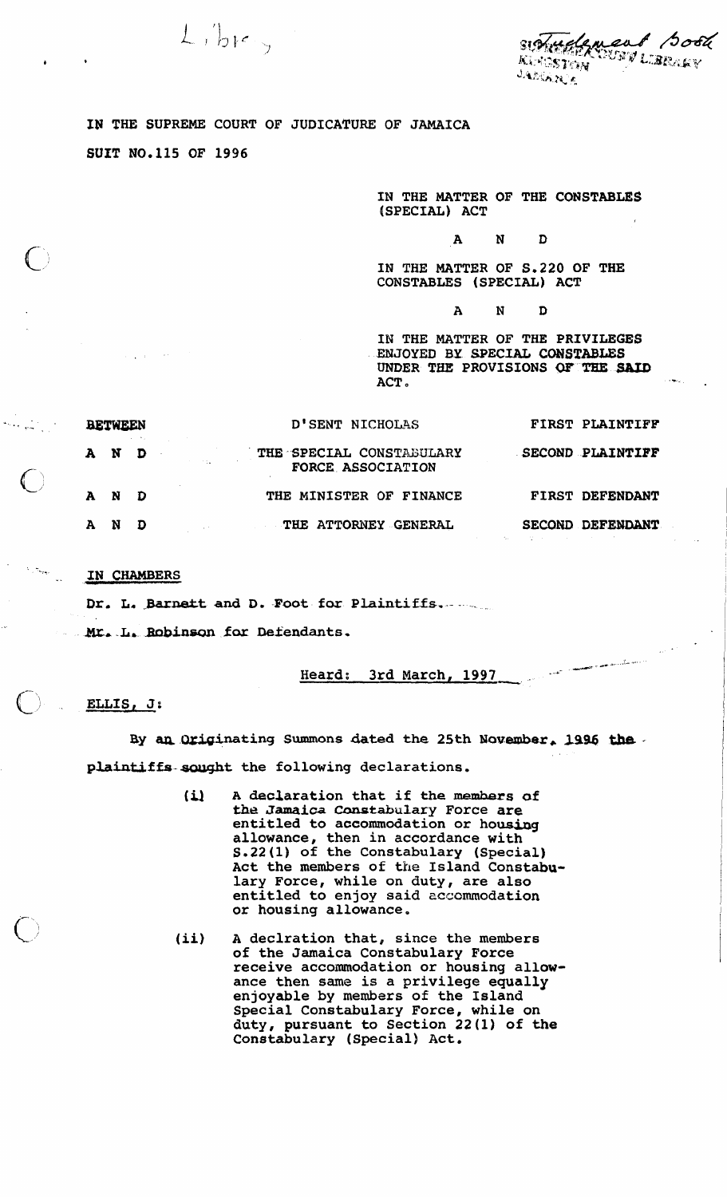SIOTHERMENT BOOK **KLYGSTON** JADIARIA

' i

## **IN THE SUPREME COURT OF JUDICATURE OF JAMAICA**

 $L$ , ber,

**SUXT N0.115 OF 1996** 

**IN THE MATTER OF THE CONSTABLES (SPECIAL) ACT** 

## $\mathbf{A}$  $\mathbf{N}$ D

**IN THE MATTER OF S.220 OF THE CONSTABLES (SPECIAL) ACT** 

> $\mathbf{A}$  ${\bf N}$ D

**IN THE MATTER OF THE PRIVILEGES EXJOYED BY SPECIAL CONSTABLES**  UNDER THE PROVISIONS OF THE SAID **ACT.** 

| <b>BETWEEN</b> |       |  | D'SENT NICHOLAS                               | FIRST PLAINTIFF                                                                     |
|----------------|-------|--|-----------------------------------------------|-------------------------------------------------------------------------------------|
|                | A N D |  | THE SPECIAL CONSTABULARY<br>FORCE ASSOCIATION | SECOND PLAINTIFF                                                                    |
|                | A N D |  | THE MINISTER OF FINANCE                       | FIRST DEFENDANT                                                                     |
|                | AN D  |  | <b>THE ATTORNEY GENERAL</b>                   | SECOND DEFENDANT<br>이 사람들은 아이들은 이 사람들은 아이들이 아이들이 아이들을 만들어 보이는 것이 아니는 것이 아니는 것이 아니다. |

## **IN CHAMBERS**

**Dr. L.** .Barnekt **and D. Foot for: Plaintiffs..--** .

**Mr. L. Robinson for Defendants.** 

**Heard: 3rd March, 1997** 

## ELLIS,  $J$ :

By an Originating Summons dated the 25th November, 1996 the plaintiffs sought the following declarations.

- **(il A declaration that if the memhars of**  the Jamaica Constabulary Force are entitled to accommodation or housing **allowance, then in accordance with S. 22 (1) of the Constabulary (Special) Act the members of the Island Constabulary Force, while on duty, are also entitled to enjoy said cccsmodation or housing allowance.**
- **(ii) A declration that, since the members of the Jamaica Constabulary Force receive accommodation or housing allowance then same is a privilege equally enjoyable by members of the Island Special Constabulary Force, while on duty, pursuant to Section 22 (1) of the Constabulary (Special) Act.**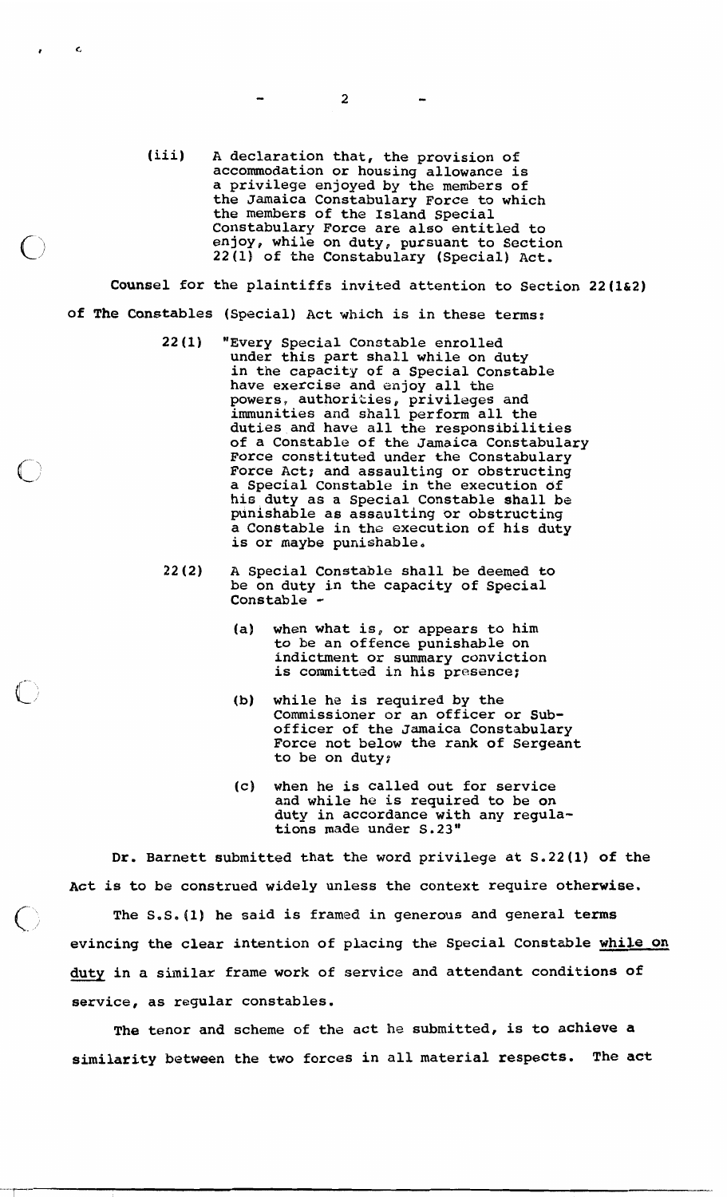(iii) A declaration that, the provision of accommodation or housing allowance is a privilege enjoyed by the members of the Jamaica Constabulary Force to which the members of the Island Special Constabulary Force are also entitled to enjoy, while on duty, pursuant to Section 22 **(1)** of the Constabulary (Special) Act.

Counsel for the plaintiffs invited attention to Section 22(1&2) of The Constables (Special) Act which is in these terms:

- 22(1) "Every Special Constable enrolled under this part shall while on duty in the capacity of a Special Constable have exercise and enjoy all the powers, authorikies, privileges and immunities and shall perform all the duties and have all the responsibilities of a Constable of the Jamaica Constabulary Force constituted under the Constabulary Force Act; and assaulting or obstructing a Special Constable in the execution **df**  hic duty as a Special Constable shall be punishable as assaulting or obstructing a Constable in the execution of his duty is or maybe punishable,
- 22(2) A Special Constable shall be deemed to be on duty in the capacity of Special Constable  $\cdot$ 
	- (a) when what is, or appears to him to be an offence punishable on indictment or summary conviction is committed in his presence;
	- (b) while he is required by the Commissioner or an officer or Subofficer of the Jamaica Constabulary Force not below the rank of Sergeant to be on duty;
	- (c) when he is called out for service and while he is required to be on duty in accordance with any regulations made under S.23"

Dr. Barnett submitted that the word privilege at S,22(1) of the Act is to be construed widely unless the context require otherwise.

 $\zeta$  ) –

 $\epsilon$ 

The S.S. (1) he said is framed in generous and general terms evincing the clear intention of placing the Special Constable while on duty in a similar frame work of service and attendant conditions of service, as regular constables.

The tenor and scheme of the act he submitted, is to achieve a similarity between the two forces in all material respects. The act

 $\overline{2}$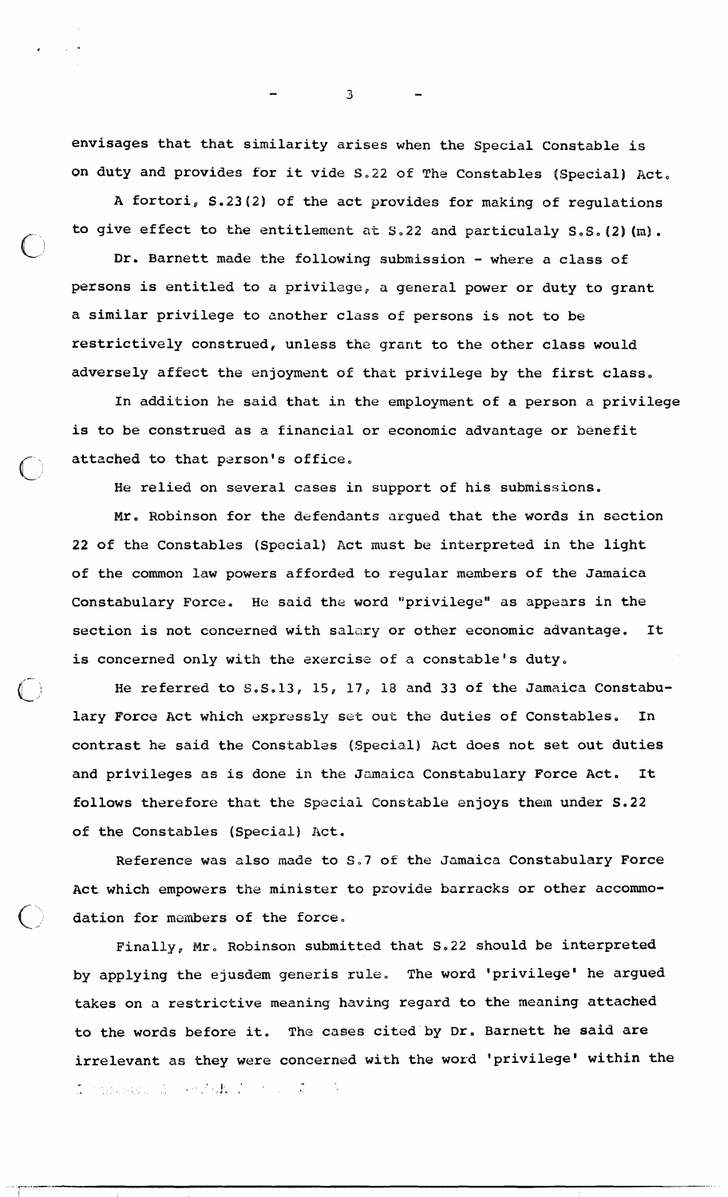envisages that that similarity arises when the Special Constable is on duty and provides for it vide S.22 of The Constables (Special) Act.

A fortori, S.23(2) of the act provides for making of regulations to give effect to the entitlement **at S.22** and particulaly **S.S.42) (m).** 

Dr. Barnett made the following submission - where a class of persons is entitled to a privilege, a general power or duty to grant a similar privilege to another class of persons is not to be restrictively construed, unless the grant to the other class would adversely affect the enjoyment of that privilege by the first class.

In addition he said that in the employment of a person a privilege is to be construed as a financial or economic advantage or benefit attached to that person's office.

He relied on several **cases** in support of his submissions.

Mr. Robinson for the defendants argued that the words in section **22** of the Constables (Special) Act must be interpreted in the light of the common law powers afforded to regular members of the Jamaica Constabulary Force. He said the word "privilege" as appears in the section is not concerned with salary or other economic advantage. It is concerned only with the sxercise of a constable's duty,

He referred to S.S.13, 15, 17, 18 and 33 of the Jamaica Constabu-<br>Force Act which expressly set out the duties of Constables. In lary Force Act which expressly set out the duties of Constables. contrast he said the Constables (Special) Act does not set out duties and privileges as is done in the Jamaica Constabulary Force Act. It follows therefore that the Special Constable enjoys them under **S.22**  of the Constables (Special) Act.

Reference was also made to S.7 of the Jamaica Constabulary Force Act which empowers the minister to provide barracks or other accommo dation for members of the force.

Finally, Mr, Robinson submitted that **S,22** should be interpreted by applying the ejusdem generis rule. The word 'privilege' he argued takes on **a** restrictive meaning having regard to the meaning attached to the words before it. The cases cited by Dr. Barnett he said are irrelevant as they were concerned with the word 'privilege' within the . **a** !. :

 $\mathfrak{I}$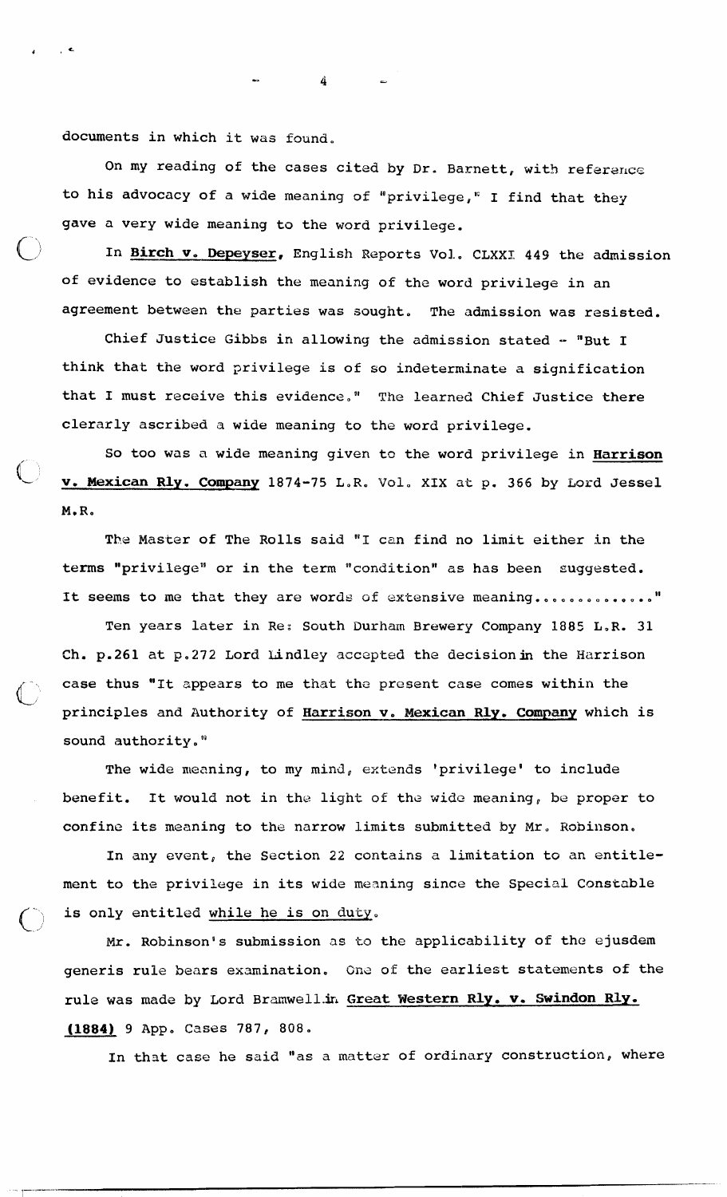documents in which it was found,

On my reading of the cases cited by Dr. Barnett, with reference to his advocacy of a wide meaning of "privilege," I find that they gave a very wide meaning to the word privilege.

0 **In Birch v, Depeyser,** English Reports Vol.. CLXXX **449** the admission of evidence to establish the meaning of the word privilege in an agreement between the parties was sought. The admission was resisted.

Chief Justice Gibbs in allowing the admission stated - "But I think that the word privilege is of so indeterminate a signification that I must receive this evidence." The learned Chief Justice there clerarly ascribed a wide meaning to the word privilege.

So too was **a** wide meaning given to the word privilege in **Harrison**  v. Mexican Rly. Company 1874-75 L.R. Vol. XIX at p. 366 by Lord Jessel M.R.

The Master of The Rolls said **"1** can find no limit either in the terms "privilege" or in the term "condition" as has been suggested. It seems to me that they are words of extensive meaning ................"

Ten years later in Re: South Durham Brewery Company 1885 L.R. 31 Ch. p.261 at **p.272** Lord Lindley accepted the decisionin the Harrison case thus "It appears to me that the present case comes within the L, principles and Authority of **Harrison v. Mexican Rly, Company** which is sound authority.<sup>"</sup>

The wide meaning, to my mind, extends 'privilege' to include benefit. It would not in the light of the wide meaning, be proper to confine its meaning to the narrow limits submitted by Mr. Robinson.

In any event, the Section 22 contains a limitation to an entitlement to the privilege in its wide mesning since the Special Constable is only entitled while he is on duty.

Mr. Robinson's submission **as to** the applicability of the ejusdem generis rule bears examination, Ona **of** the earliest statements of the rule was made by Lord Bramwell.in Great Western Rly. v. Swindon Rly. **(1884) 9 App. Cases 787, 808.** 

In that case he said "as a matter of ordinary construction, where

4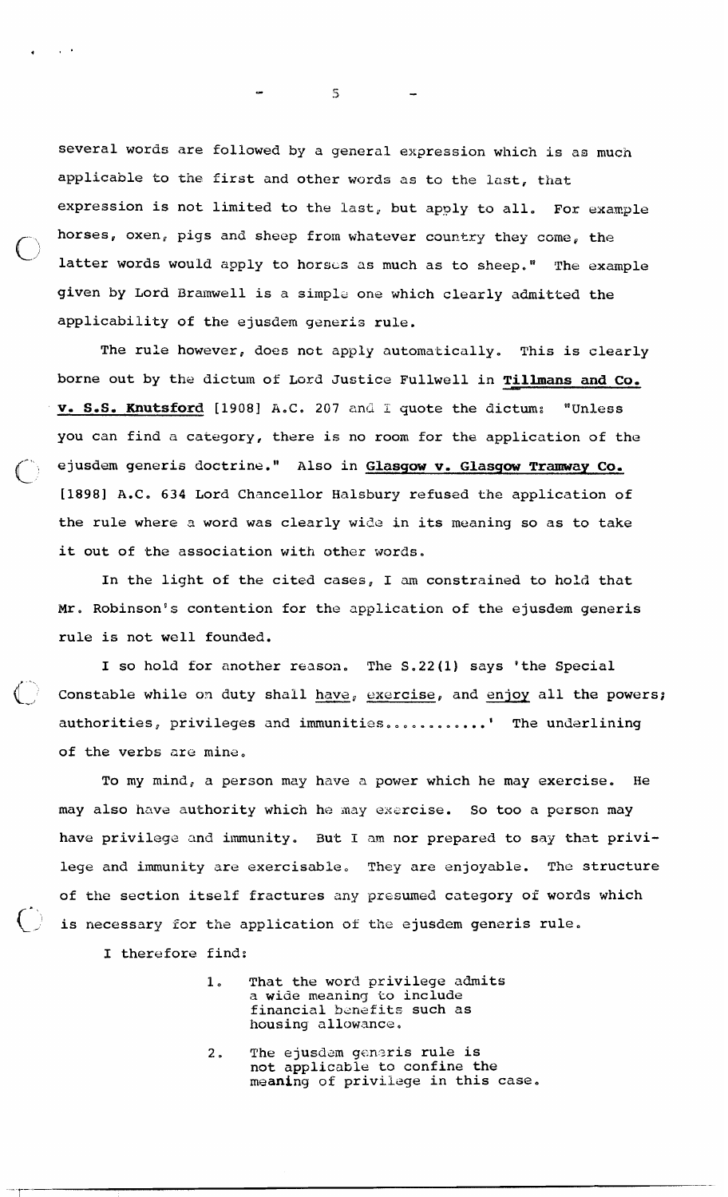several words are followed by a general expression which is as much applicable to the first and other words as to the last, that expression is not limited to the last, but apply to all. For example horses, oxen, pigs and sheep from whatever country they come, the latter words would apply to horses as much as to sheep." The example given by Lord Bramwell is a simple one which clearly admitted the applicability of the ejusdem generis rule.

The rule however, does not apply automatically. This is clearly borne out by the dictum of Lord Justice Fullwell in **Tillmans** and **Co, v. S.S. Knutsford** [1908] A.C. 207 and I quote the dictum: "Unless you can find a category, there is no room for the application of the c ejusdem generis doctrine." Also in **Glasgow v. Glasgow Tramway Co,**  [1898] A.C. 634 Lord Chancellor Halsbury refused the application of the rule where a word was clearly wide in its meaning so as to take it out of the association with other words.

In the light of the cited cases, I am constrained to hold that Mr. Robinson's contention for the application of the ejusdem generis rule is not well founded.

I so hold for another reason. The **S.22(1)** says 'the Special Constable while on duty shall have, exercise, and enjoy all the powers; authorities, privileges and immunities............' The underlining of the verbs **are** mins,

To my mind, a person may have a power which he may exercise. He may also have authority which he may exercise. So too a person may have privilege and immunity. But I **am** nor prepared to say that privilege and immunity are exercisable, **They** are enjoyable. The structure of the section itself fractures any presumed category of words which is necessary for the application of the ejusdem generis rule.

I therefore find:

- **1,** That the word privilege admits a wide meanin9 **to** include financial benefits such as housing allowance,
- 2. The ejusdam generis rule is not applicable to confine the meaning of privilege in this case.

 $\mathbf{S}$